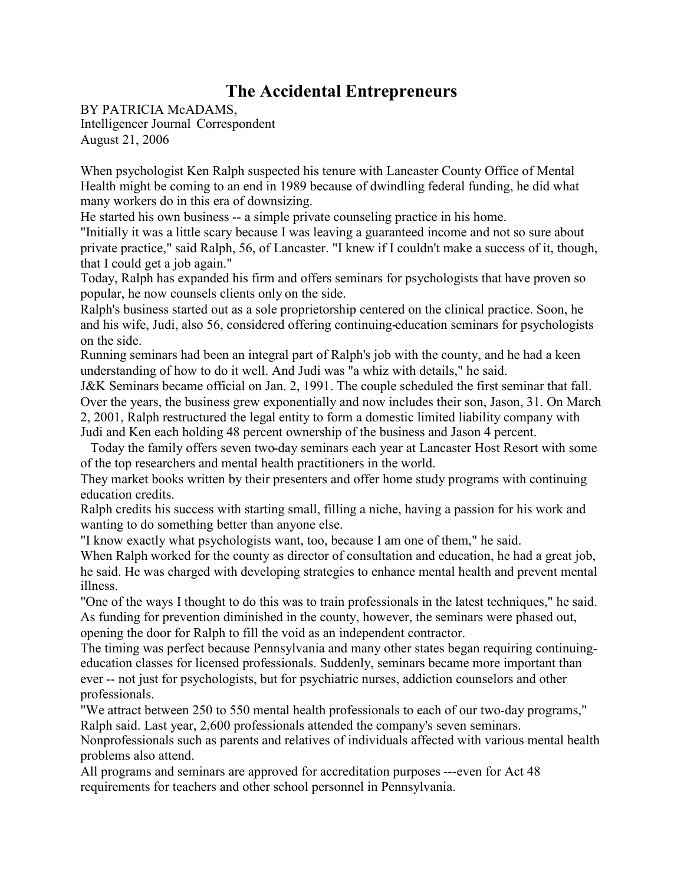## **The Accidental Entrepreneurs**

BY PATRICIA McADAMS, Intelligencer Journal Correspondent August 21, 2006

When psychologist Ken Ralph suspected his tenure with Lancaster County Office of Mental Health might be coming to an end in 1989 because of dwindling federal funding, he did what many workers do in this era of downsizing.

He started his own business -- a simple private counseling practice in his home.

"Initially it was a little scary because I was leaving a guaranteed income and not so sure about private practice," said Ralph, 56, of Lancaster. "I knew if I couldn't make a success of it, though, that I could get a job again."

Today, Ralph has expanded his firm and offers seminars for psychologists that have proven so popular, he now counsels clients only on the side.

Ralph's business started out as a sole proprietorship centered on the clinical practice. Soon, he and his wife, Judi, also 56, considered offering continuing-education seminars for psychologists on the side.

Running seminars had been an integral part of Ralph's job with the county, and he had a keen understanding of how to do it well. And Judi was "a whiz with details," he said.

J&K Seminars became official on Jan. 2, 1991. The couple scheduled the first seminar that fall. Over the years, the business grew exponentially and now includes their son, Jason, 31. On March 2, 2001, Ralph restructured the legal entity to form a domestic limited liability company with Judi and Ken each holding 48 percent ownership of the business and Jason 4 percent.

Today the family offers seven two-day seminars each year at Lancaster Host Resort with some of the top researchers and mental health practitioners in the world.

They market books written by their presenters and offer home study programs with continuing education credits.

Ralph credits his success with starting small, filling a niche, having a passion for his work and wanting to do something better than anyone else.

"I know exactly what psychologists want, too, because I am one of them," he said.

When Ralph worked for the county as director of consultation and education, he had a great job, he said. He was charged with developing strategies to enhance mental health and prevent mental illness.

"One of the ways I thought to do this was to train professionals in the latest techniques," he said. As funding for prevention diminished in the county, however, the seminars were phased out, opening the door for Ralph to fill the void as an independent contractor.

The timing was perfect because Pennsylvania and many other states began requiring continuingeducation classes for licensed professionals. Suddenly, seminars became more important than ever -- not just for psychologists, but for psychiatric nurses, addiction counselors and other professionals.

"We attract between 250 to 550 mental health professionals to each of our two-day programs," Ralph said. Last year, 2,600 professionals attended the company's seven seminars.

Nonprofessionals such as parents and relatives of individuals affected with various mental health problems also attend.

All programs and seminars are approved for accreditation purposes ---even for Act 48 requirements for teachers and other school personnel in Pennsylvania.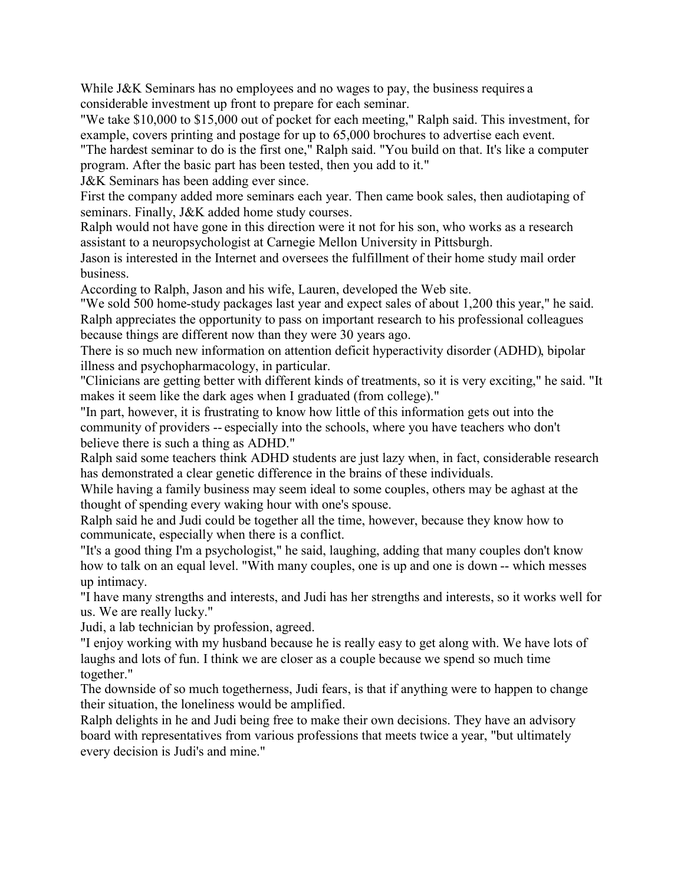While J&K Seminars has no employees and no wages to pay, the business requires a considerable investment up front to prepare for each seminar.

"We take \$10,000 to \$15,000 out of pocket for each meeting," Ralph said. This investment, for example, covers printing and postage for up to 65,000 brochures to advertise each event.

"The hardest seminar to do is the first one," Ralph said. "You build on that. It's like a computer program. After the basic part has been tested, then you add to it."

J&K Seminars has been adding ever since.

First the company added more seminars each year. Then came book sales, then audiotaping of seminars. Finally, J&K added home study courses.

Ralph would not have gone in this direction were it not for his son, who works as a research assistant to a neuropsychologist at Carnegie Mellon University in Pittsburgh.

Jason is interested in the Internet and oversees the fulfillment of their home study mail order business.

According to Ralph, Jason and his wife, Lauren, developed the Web site.

"We sold 500 home-study packages last year and expect sales of about 1,200 this year," he said. Ralph appreciates the opportunity to pass on important research to his professional colleagues because things are different now than they were 30 years ago.

There is so much new information on attention deficit hyperactivity disorder (ADHD), bipolar illness and psychopharmacology, in particular.

"Clinicians are getting better with different kinds of treatments, so it is very exciting," he said. "It makes it seem like the dark ages when I graduated (from college)."

"In part, however, it is frustrating to know how little of this information gets out into the community of providers -- especially into the schools, where you have teachers who don't believe there is such a thing as ADHD."

Ralph said some teachers think ADHD students are just lazy when, in fact, considerable research has demonstrated a clear genetic difference in the brains of these individuals.

While having a family business may seem ideal to some couples, others may be aghast at the thought of spending every waking hour with one's spouse.

Ralph said he and Judi could be together all the time, however, because they know how to communicate, especially when there is a conflict.

"It's a good thing I'm a psychologist," he said, laughing, adding that many couples don't know how to talk on an equal level. "With many couples, one is up and one is down -- which messes up intimacy.

"I have many strengths and interests, and Judi has her strengths and interests, so it works well for us. We are really lucky."

Judi, a lab technician by profession, agreed.

"I enjoy working with my husband because he is really easy to get along with. We have lots of laughs and lots of fun. I think we are closer as a couple because we spend so much time together."

The downside of so much togetherness, Judi fears, is that if anything were to happen to change their situation, the loneliness would be amplified.

Ralph delights in he and Judi being free to make their own decisions. They have an advisory board with representatives from various professions that meets twice a year, "but ultimately every decision is Judi's and mine."